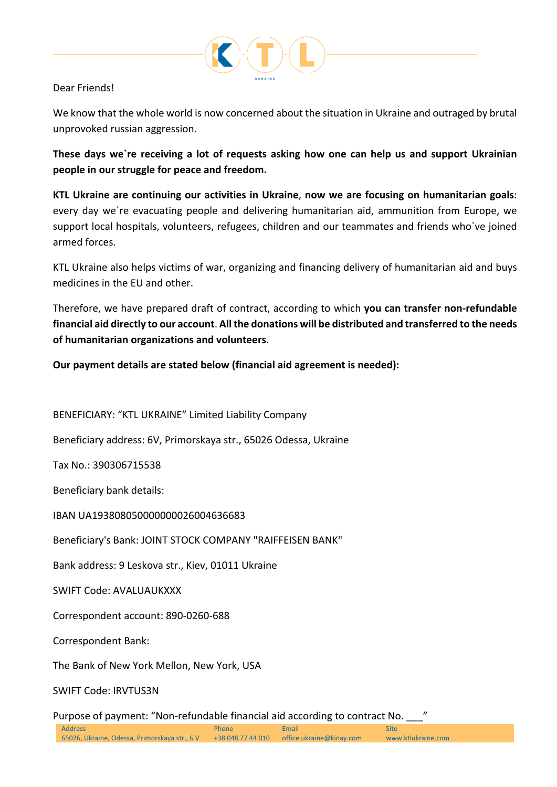

# Dear Friends!

We know that the whole world is now concerned about the situation in Ukraine and outraged by brutal unprovoked russian aggression.

**These days we`re receiving a lot of requests asking how one can help us and support Ukrainian people in our struggle for peace and freedom.**

**KTL Ukraine are continuing our activities in Ukraine**, **now we are focusing on humanitarian goals**: every day we`re evacuating people and delivering humanitarian aid, ammunition from Europe, we support local hospitals, volunteers, refugees, children and our teammates and friends who`ve joined armed forces.

KTL Ukraine also helps victims of war, organizing and financing delivery of humanitarian aid and buys medicines in the EU and other.

Therefore, we have prepared draft of contract, according to which **you can transfer non-refundable financial aid directly to our account**. **All the donations will be distributed and transferred to the needs of humanitarian organizations and volunteers**.

**Our payment details are stated below (financial aid agreement is needed):**

BENEFICIARY: "KTL UKRAINE" Limited Liability Company

Beneficiary address: 6V, Primorskaya str., 65026 Odessa, Ukraine

Tax No.: 390306715538

Beneficiary bank details:

IBAN UA193808050000000026004636683

Beneficiary's Bank: JOINT STOCK COMPANY "RAIFFEISEN BANK"

Bank address: 9 Leskova str., Kiev, 01011 Ukraine

SWIFT Code: AVALUAUKXXX

Correspondent account: 890-0260-688

Correspondent Bank:

The Bank of New York Mellon, New York, USA

SWIFT Code: IRVTUS3N

Purpose of payment: "Non-refundable financial aid according to contract No. \_\_\_"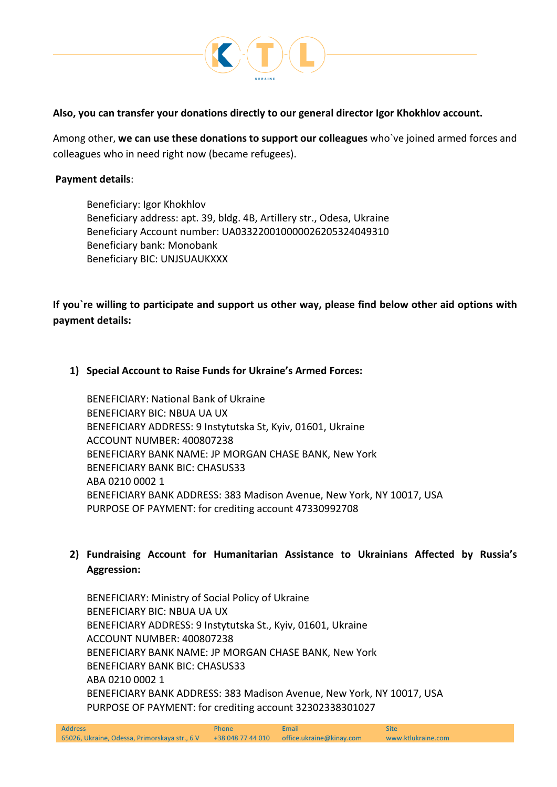

## **Also, you can transfer your donations directly to our general director Igor Khokhlov account.**

Among other, **we can use these donations to support our colleagues** who`ve joined armed forces and colleagues who in need right now (became refugees).

## **Payment details**:

Beneficiary: Igor Khokhlov Beneficiary address: apt. 39, bldg. 4B, Artillery str., Odesa, Ukraine Beneficiary Account number: UA033220010000026205324049310 Beneficiary bank: Monobank Beneficiary BIC: UNJSUAUKXXX

**If you`re willing to participate and support us other way, please find below other aid options with payment details:**

#### **1) Special Account to Raise Funds for Ukraine's Armed Forces:**

BENEFICIARY: National Bank of Ukraine BENEFICIARY BIC: NBUA UA UX BENEFICIARY ADDRESS: 9 Instytutska St, Kyiv, 01601, Ukraine ACCOUNT NUMBER: 400807238 BENEFICIARY BANK NAME: JP MORGAN CHASE BANK, New York BENEFICIARY BANK BIC: CHASUS33 ABA 0210 0002 1 BENEFICIARY BANK ADDRESS: 383 Madison Avenue, New York, NY 10017, USA PURPOSE OF PAYMENT: for crediting account 47330992708

# **2) Fundraising Account for Humanitarian Assistance to Ukrainians Affected by Russia's Aggression:**

BENEFICIARY: Ministry of Social Policy of Ukraine BENEFICIARY BIC: NBUA UA UX BENEFICIARY ADDRESS: 9 Instytutska St., Kyiv, 01601, Ukraine ACCOUNT NUMBER: 400807238 BENEFICIARY BANK NAME: JP MORGAN CHASE BANK, New York BENEFICIARY BANK BIC: CHASUS33 ABA 0210 0002 1 BENEFICIARY BANK ADDRESS: 383 Madison Avenue, New York, NY 10017, USA PURPOSE OF PAYMENT: for crediting account 32302338301027